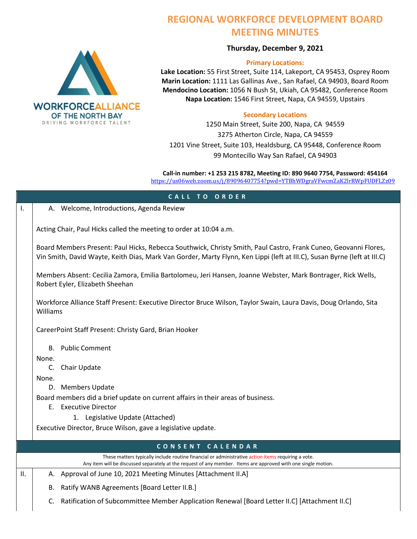

## **REGIONAL WORKFORCE DEVELOPMENT BOARD MEETING MINUTES**

## **Thursday, December 9, 2021**

## **Primary Locations:**

**Lake Location:** 55 First Street, Suite 114, Lakeport, CA 95453, Osprey Room **Marin Location:** 1111 Las Gallinas Ave., San Rafael, CA 94903, Board Room **Mendocino Location:** 1056 N Bush St, Ukiah, CA 95482, Conference Room **Napa Location:** 1546 First Street, Napa, CA 94559, Upstairs

## **Secondary Locations**

1250 Main Street, Suite 200, Napa, CA 94559 3275 Atherton Circle, Napa, CA 94559 1201 Vine Street, Suite 103, Healdsburg, CA 95448, Conference Room 99 Montecillo Way San Rafael, CA 94903

**Call-in number: +1 253 215 8782, Meeting ID: 890 9640 7754, Password: 454164** <https://us06web.zoom.us/j/89096407754?pwd=YTBhWDgraVFwcmZaK2lrRWpFUDFLZz09>

| CALL TO ORDER    |                                                                                                                                                                                                                                             |  |
|------------------|---------------------------------------------------------------------------------------------------------------------------------------------------------------------------------------------------------------------------------------------|--|
| Ι.               | A. Welcome, Introductions, Agenda Review                                                                                                                                                                                                    |  |
|                  |                                                                                                                                                                                                                                             |  |
|                  | Acting Chair, Paul Hicks called the meeting to order at 10:04 a.m.                                                                                                                                                                          |  |
|                  | Board Members Present: Paul Hicks, Rebecca Southwick, Christy Smith, Paul Castro, Frank Cuneo, Geovanni Flores,<br>Vin Smith, David Wayte, Keith Dias, Mark Van Gorder, Marty Flynn, Ken Lippi (left at III.C), Susan Byrne (left at III.C) |  |
|                  | Members Absent: Cecilia Zamora, Emilia Bartolomeu, Jeri Hansen, Joanne Webster, Mark Bontrager, Rick Wells,<br>Robert Eyler, Elizabeth Sheehan                                                                                              |  |
|                  | Workforce Alliance Staff Present: Executive Director Bruce Wilson, Taylor Swain, Laura Davis, Doug Orlando, Sita<br>Williams                                                                                                                |  |
|                  | CareerPoint Staff Present: Christy Gard, Brian Hooker                                                                                                                                                                                       |  |
|                  | <b>B.</b> Public Comment                                                                                                                                                                                                                    |  |
|                  | None.                                                                                                                                                                                                                                       |  |
|                  | C.<br>Chair Update                                                                                                                                                                                                                          |  |
|                  | None.<br>D. Members Update                                                                                                                                                                                                                  |  |
|                  | Board members did a brief update on current affairs in their areas of business.                                                                                                                                                             |  |
|                  | E. Executive Director                                                                                                                                                                                                                       |  |
|                  | 1. Legislative Update (Attached)                                                                                                                                                                                                            |  |
|                  | Executive Director, Bruce Wilson, gave a legislative update.                                                                                                                                                                                |  |
| CONSENT CALENDAR |                                                                                                                                                                                                                                             |  |
|                  | These matters typically include routine financial or administrative action items requiring a vote.<br>Any item will be discussed separately at the request of any member. Items are approved with one single motion.                        |  |
| П.               | A. Approval of June 10, 2021 Meeting Minutes [Attachment II.A]                                                                                                                                                                              |  |
|                  | Ratify WANB Agreements [Board Letter II.B.]<br>В.                                                                                                                                                                                           |  |
|                  | Ratification of Subcommittee Member Application Renewal [Board Letter II.C] [Attachment II.C]<br>C.                                                                                                                                         |  |